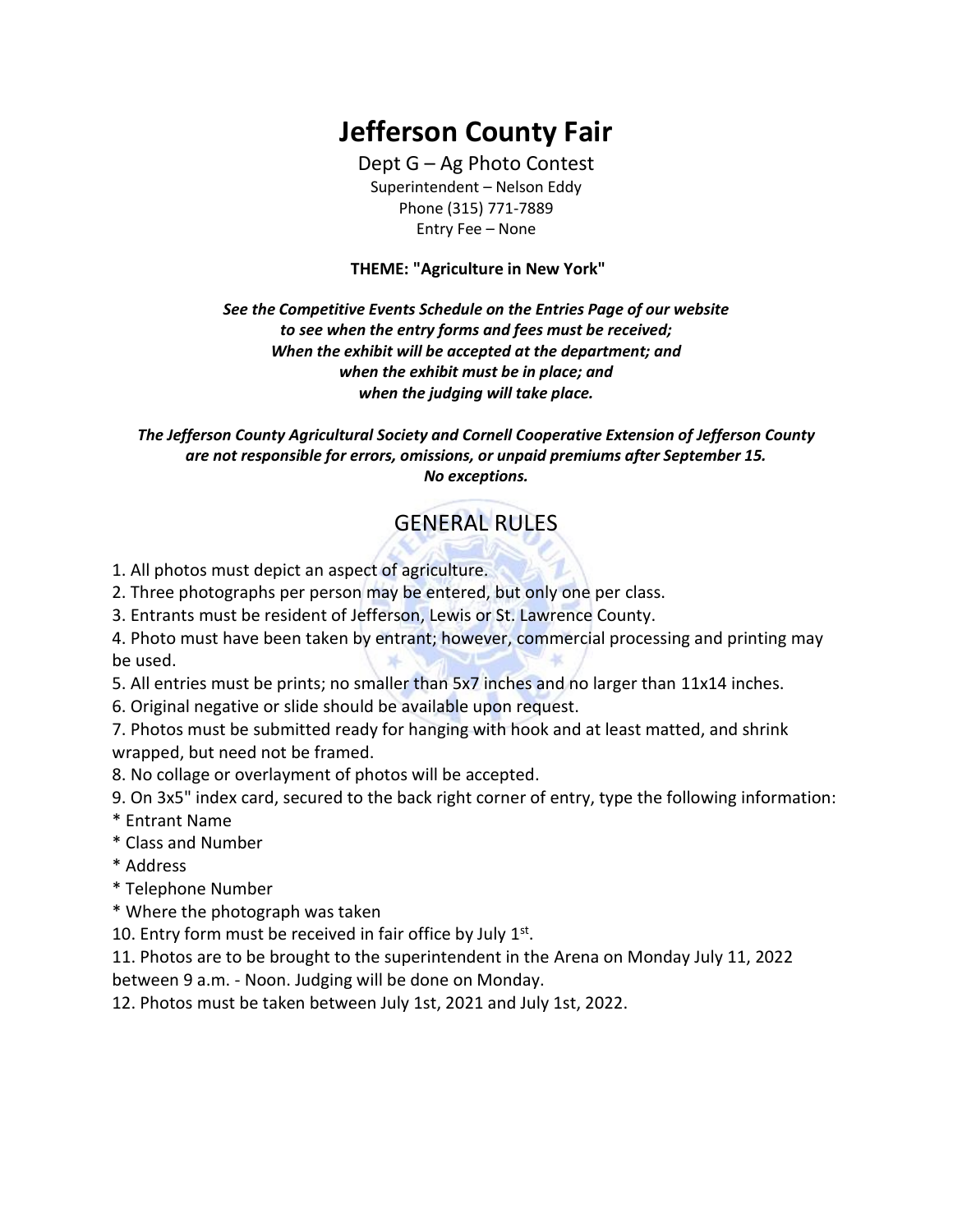## **Jefferson County Fair**

Dept G – Ag Photo Contest Superintendent – Nelson Eddy Phone (315) 771-7889 Entry Fee – None

**THEME: "Agriculture in New York"**

*See the Competitive Events Schedule on the Entries Page of our website to see when the entry forms and fees must be received; When the exhibit will be accepted at the department; and when the exhibit must be in place; and when the judging will take place.*

*The Jefferson County Agricultural Society and Cornell Cooperative Extension of Jefferson County are not responsible for errors, omissions, or unpaid premiums after September 15. No exceptions.*

## GENERAL RULES

- 1. All photos must depict an aspect of agriculture.
- 2. Three photographs per person may be entered, but only one per class.
- 3. Entrants must be resident of Jefferson, Lewis or St. Lawrence County.
- 4. Photo must have been taken by entrant; however, commercial processing and printing may be used.
- 5. All entries must be prints; no smaller than 5x7 inches and no larger than 11x14 inches.
- 6. Original negative or slide should be available upon request.

7. Photos must be submitted ready for hanging with hook and at least matted, and shrink wrapped, but need not be framed.

- 8. No collage or overlayment of photos will be accepted.
- 9. On 3x5" index card, secured to the back right corner of entry, type the following information: \* Entrant Name
- \* Class and Number
- \* Address
- \* Telephone Number
- \* Where the photograph was taken
- 10. Entry form must be received in fair office by July  $1<sup>st</sup>$ .

11. Photos are to be brought to the superintendent in the Arena on Monday July 11, 2022 between 9 a.m. - Noon. Judging will be done on Monday.

12. Photos must be taken between July 1st, 2021 and July 1st, 2022.